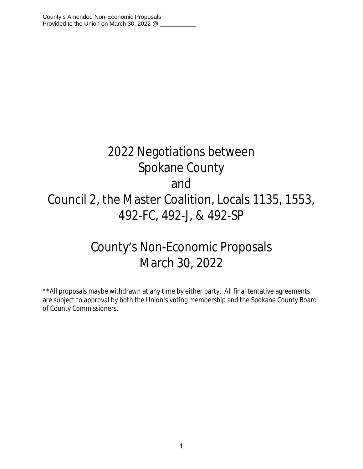# 2022 Negotiations between Spokane County and Council 2, the Master Coalition, Locals 1135, 1553, 492-FC, 492-J, & 492-SP

## County's Non-Economic Proposals March 30, 2022

\*\*All proposals maybe withdrawn at any time by either party. All final tentative agreements are subject to approval by both the Union's voting membership and the Spokane County Board of County Commissioners.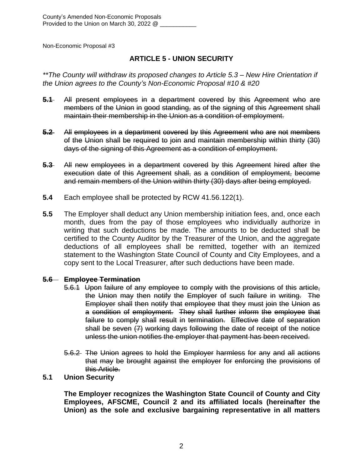#### **ARTICLE 5 - UNION SECURITY**

*\*\*The County will withdraw its proposed changes to Article 5.3 – New Hire Orientation if the Union agrees to the County's Non-Economic Proposal #10 & #20*

- **5.1** All present employees in a department covered by this Agreement who are members of the Union in good standing, as of the signing of this Agreement shall maintain their membership in the Union as a condition of employment.
- **5.2** All employees in a department covered by this Agreement who are not members of the Union shall be required to join and maintain membership within thirty (30) days of the signing of this Agreement as a condition of employment.
- **5.3** All new employees in a department covered by this Agreement hired after the execution date of this Agreement shall, as a condition of employment, become and remain members of the Union within thirty (30) days after being employed.
- **5.4** Each employee shall be protected by RCW 41.56.122(1).
- **5.5** The Employer shall deduct any Union membership initiation fees, and, once each month, dues from the pay of those employees who individually authorize in writing that such deductions be made. The amounts to be deducted shall be certified to the County Auditor by the Treasurer of the Union, and the aggregate deductions of all employees shall be remitted, together with an itemized statement to the Washington State Council of County and City Employees, and a copy sent to the Local Treasurer, after such deductions have been made.

#### **5.6 Employee Termination**

- 5.6.1 Upon failure of any employee to comply with the provisions of this article, the Union may then notify the Employer of such failure in writing. The Employer shall then notify that employee that they must join the Union as a condition of employment. They shall further inform the employee that failure to comply shall result in termination. Effective date of separation shall be seven (7) working days following the date of receipt of the notice unless the union notifies the employer that payment has been received.
- 5.6.2 The Union agrees to hold the Employer harmless for any and all actions that may be brought against the employer for enforcing the provisions of this Article.

#### **5.1 Union Security**

**The Employer recognizes the Washington State Council of County and City Employees, AFSCME, Council 2 and its affiliated locals (hereinafter the Union) as the sole and exclusive bargaining representative in all matters**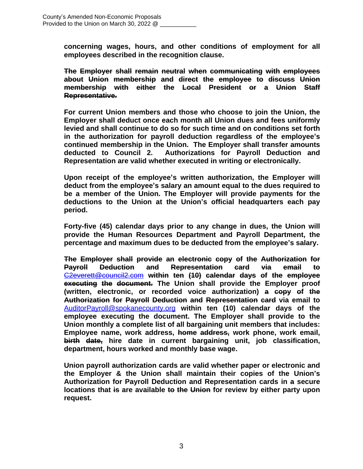**concerning wages, hours, and other conditions of employment for all employees described in the recognition clause.**

**The Employer shall remain neutral when communicating with employees about Union membership and direct the employee to discuss Union membership with either the Local President or a Union Staff Representative.**

**For current Union members and those who choose to join the Union, the Employer shall deduct once each month all Union dues and fees uniformly levied and shall continue to do so for such time and on conditions set forth in the authorization for payroll deduction regardless of the employee's continued membership in the Union. The Employer shall transfer amounts deducted to Council 2. Authorizations for Payroll Deduction and Representation are valid whether executed in writing or electronically.**

**Upon receipt of the employee's written authorization, the Employer will deduct from the employee's salary an amount equal to the dues required to be a member of the Union. The Employer will provide payments for the deductions to the Union at the Union's official headquarters each pay period.** 

**Forty-five (45) calendar days prior to any change in dues, the Union will provide the Human Resources Department and Payroll Department, the percentage and maximum dues to be deducted from the employee's salary.**

**The Employer shall provide an electronic copy of the Authorization for Payroll Deduction and Representation card via email to** [C2everett@council2.com](mailto:C2everett@council2.com) **within ten (10) calendar days of the employee executing the document. The Union shall provide the Employer proof (written, electronic, or recorded voice authorization) a copy of the Authorization for Payroll Deduction and Representation card via email to** [AuditorPayroll@spokanecounty.org](mailto:AuditorPayroll@spokanecounty.org) **within ten (10) calendar days of the employee executing the document. The Employer shall provide to the Union monthly a complete list of all bargaining unit members that includes: Employee name, work address, home address, work phone, work email, birth date, hire date in current bargaining unit, job classification, department, hours worked and monthly base wage.**

**Union payroll authorization cards are valid whether paper or electronic and the Employer & the Union shall maintain their copies of the Union's Authorization for Payroll Deduction and Representation cards in a secure locations that is are available to the Union for review by either party upon request.**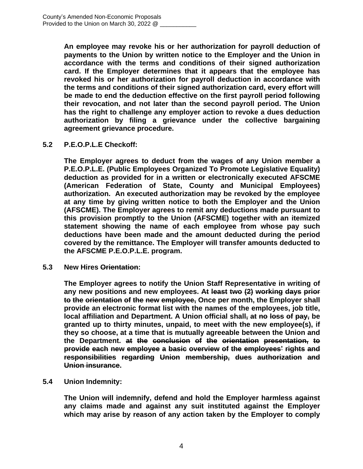**An employee may revoke his or her authorization for payroll deduction of payments to the Union by written notice to the Employer and the Union in accordance with the terms and conditions of their signed authorization card. If the Employer determines that it appears that the employee has revoked his or her authorization for payroll deduction in accordance with the terms and conditions of their signed authorization card, every effort will be made to end the deduction effective on the first payroll period following their revocation, and not later than the second payroll period. The Union has the right to challenge any employer action to revoke a dues deduction authorization by filing a grievance under the collective bargaining agreement grievance procedure.**

#### **5.2 P.E.O.P.L.E Checkoff:**

**The Employer agrees to deduct from the wages of any Union member a P.E.O.P.L.E. (Public Employees Organized To Promote Legislative Equality) deduction as provided for in a written or electronically executed AFSCME (American Federation of State, County and Municipal Employees) authorization. An executed authorization may be revoked by the employee at any time by giving written notice to both the Employer and the Union (AFSCME). The Employer agrees to remit any deductions made pursuant to this provision promptly to the Union (AFSCME) together with an itemized statement showing the name of each employee from whose pay such deductions have been made and the amount deducted during the period covered by the remittance. The Employer will transfer amounts deducted to the AFSCME P.E.O.P.L.E. program.**

**5.3 New Hires Orientation:**

**The Employer agrees to notify the Union Staff Representative in writing of any new positions and new employees. At least two (2) working days prior to the orientation of the new employee, Once per month, the Employer shall provide an electronic format list with the names of the employees, job title, local affiliation and Department. A Union official shall, at no loss of pay, be granted up to thirty minutes, unpaid, to meet with the new employee(s), if they so choose, at a time that is mutually agreeable between the Union and the Department. at the conclusion of the orientation presentation, to provide each new employee a basic overview of the employees' rights and responsibilities regarding Union membership, dues authorization and Union insurance.**

#### **5.4 Union Indemnity:**

**The Union will indemnify, defend and hold the Employer harmless against any claims made and against any suit instituted against the Employer which may arise by reason of any action taken by the Employer to comply**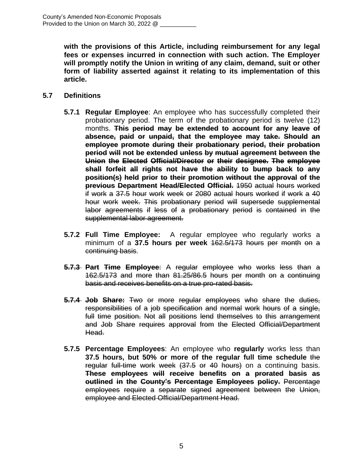**with the provisions of this Article, including reimbursement for any legal fees or expenses incurred in connection with such action. The Employer will promptly notify the Union in writing of any claim, demand, suit or other form of liability asserted against it relating to its implementation of this article.**

#### **5.7 Definitions**

- **5.7.1 Regular Employee**: An employee who has successfully completed their probationary period. The term of the probationary period is twelve (12) months. **This period may be extended to account for any leave of absence, paid or unpaid, that the employee may take. Should an employee promote during their probationary period, their probation period will not be extended unless by mutual agreement between the Union the Elected Official/Director or their designee. The employee shall forfeit all rights not have the ability to bump back to any position(s) held prior to their promotion without the approval of the previous Department Head/Elected Official.** 1950 actual hours worked if work a 37.5 hour work week or 2080 actual hours worked if work a 40 hour work week. This probationary period will supersede supplemental labor agreements if less of a probationary period is contained in the supplemental labor agreement.
- **5.7.2 Full Time Employee:** A regular employee who regularly works a minimum of a **37.5 hours per week** 162.5/173 hours per month on a continuing basis.
- **5.7.3 Part Time Employee**: A regular employee who works less than a 162.5/173 and more than 81.25/86.5 hours per month on a continuing basis and receives benefits on a true pro-rated basis.
- **5.7.4 Job Share:** Two or more regular employees who share the duties, responsibilities of a job specification and normal work hours of a single, full time position. Not all positions lend themselves to this arrangement and Job Share requires approval from the Elected Official/Department Head.
- **5.7.5 Percentage Employees**: An employee who **regularly** works less than **37.5 hours, but 50% or more of the regular full time schedule** the regular full-time work week (37.5 or 40 hours) on a continuing basis. **These employees will receive benefits on a prorated basis as outlined in the County's Percentage Employees policy.** Percentage employees require a separate signed agreement between the Union, employee and Elected Official/Department Head.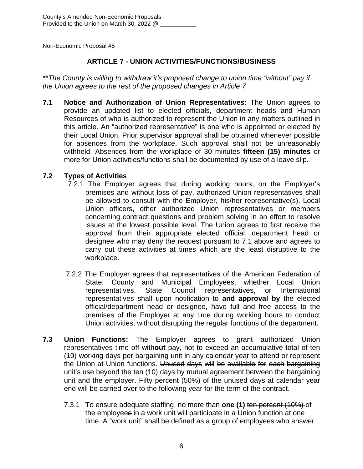#### **ARTICLE 7 - UNION ACTIVITIES/FUNCTIONS/BUSINESS**

\*\**The County is willing to withdraw it's proposed change to union time "without" pay if the Union agrees to the rest of the proposed changes in Article 7*

**7.1 Notice and Authorization of Union Representatives:** The Union agrees to provide an updated list to elected officials, department heads and Human Resources of who is authorized to represent the Union in any matters outlined in this article. An "authorized representative" is one who is appointed or elected by their Local Union. Prior supervisor approval shall be obtained whenever possible for absences from the workplace. Such approval shall not be unreasonably withheld. Absences from the workplace of 30 minutes **fifteen (15) minutes** or more for Union activities/functions shall be documented by use of a leave slip.

#### **7.2 Types of Activities**

- 7.2.1 The Employer agrees that during working hours, on the Employer's premises and without loss of pay, authorized Union representatives shall be allowed to consult with the Employer, his/her representative(s), Local Union officers, other authorized Union representatives or members concerning contract questions and problem solving in an effort to resolve issues at the lowest possible level. The Union agrees to first receive the approval from their appropriate elected official, department head or designee who may deny the request pursuant to 7.1 above and agrees to carry out these activities at times which are the least disruptive to the workplace.
- 7.2.2 The Employer agrees that representatives of the American Federation of State, County and Municipal Employees, whether Local Union representatives, State Council representatives, or International representatives shall upon notification to **and approval by** the elected official/department head or designee, have full and free access to the premises of the Employer at any time during working hours to conduct Union activities, without disrupting the regular functions of the department.
- **7.3 Union Functions:** The Employer agrees to grant authorized Union representatives time off with**out** pay, not to exceed an accumulative total of ten (10) working days per bargaining unit in any calendar year to attend or represent the Union at Union functions. Unused days will be available for each bargaining unit's use beyond the ten (10) days by mutual agreement between the bargaining unit and the employer. Fifty percent (50%) of the unused days at calendar year end will be carried over to the following year for the term of the contract.
	- 7.3.1 To ensure adequate staffing, no more than **one (1)** ten percent (10%) of the employees in a work unit will participate in a Union function at one time. A "work unit" shall be defined as a group of employees who answer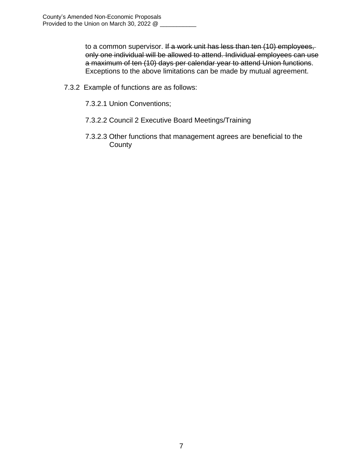to a common supervisor. If a work unit has less than ten (10) employees, only one individual will be allowed to attend. Individual employees can use a maximum of ten (10) days per calendar year to attend Union functions. Exceptions to the above limitations can be made by mutual agreement.

- 7.3.2 Example of functions are as follows:
	- 7.3.2.1 Union Conventions;
	- 7.3.2.2 Council 2 Executive Board Meetings/Training
	- 7.3.2.3 Other functions that management agrees are beneficial to the **County**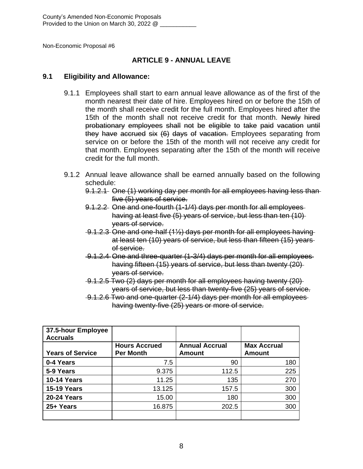#### **ARTICLE 9 - ANNUAL LEAVE**

#### **9.1 Eligibility and Allowance:**

- 9.1.1 Employees shall start to earn annual leave allowance as of the first of the month nearest their date of hire. Employees hired on or before the 15th of the month shall receive credit for the full month. Employees hired after the 15th of the month shall not receive credit for that month. Newly hired probationary employees shall not be eligible to take paid vacation until they have accrued six (6) days of vacation. Employees separating from service on or before the 15th of the month will not receive any credit for that month. Employees separating after the 15th of the month will receive credit for the full month.
- 9.1.2 Annual leave allowance shall be earned annually based on the following schedule:
	- 9.1.2.1 One (1) working day per month for all employees having less than five (5) years of service.
	- 9.1.2.2 One and one-fourth (1-1/4) days per month for all employees having at least five (5) years of service, but less than ten (10) years of service.
	- 9.1.2.3 One and one-half (1½) days per month for all employees having at least ten (10) years of service, but less than fifteen (15) years of service.
	- 9.1.2.4 One and three-quarter (1-3/4) days per month for all employees having fifteen (15) years of service, but less than twenty (20) years of service.
	- 9.1.2.5 Two (2) days per month for all employees having twenty (20) years of service, but less than twenty-five (25) years of service.
	- 9.1.2.6 Two and one-quarter (2-1/4) days per month for all employees having twenty-five (25) years or more of service.

| 37.5-hour Employee<br><b>Accruals</b> |                                          |                                 |                                     |
|---------------------------------------|------------------------------------------|---------------------------------|-------------------------------------|
| <b>Years of Service</b>               | <b>Hours Accrued</b><br><b>Per Month</b> | <b>Annual Accrual</b><br>Amount | <b>Max Accrual</b><br><b>Amount</b> |
|                                       |                                          |                                 |                                     |
| 0-4 Years                             | 7.5                                      | 90                              | 180                                 |
| 5-9 Years                             | 9.375                                    | 112.5                           | 225                                 |
| <b>10-14 Years</b>                    | 11.25                                    | 135                             | 270                                 |
| <b>15-19 Years</b>                    | 13.125                                   | 157.5                           | 300                                 |
| <b>20-24 Years</b>                    | 15.00                                    | 180                             | 300                                 |
| 25+ Years                             | 16.875                                   | 202.5                           | 300                                 |
|                                       |                                          |                                 |                                     |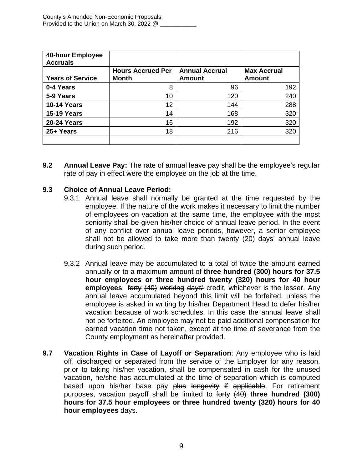| 40-hour Employee<br><b>Accruals</b> |                          |                       |                    |
|-------------------------------------|--------------------------|-----------------------|--------------------|
|                                     | <b>Hours Accrued Per</b> | <b>Annual Accrual</b> | <b>Max Accrual</b> |
| <b>Years of Service</b>             | <b>Month</b>             | <b>Amount</b>         | <b>Amount</b>      |
| 0-4 Years                           | 8                        | 96                    | 192                |
| 5-9 Years                           | 10                       | 120                   | 240                |
| <b>10-14 Years</b>                  | 12                       | 144                   | 288                |
| <b>15-19 Years</b>                  | 14                       | 168                   | 320                |
| <b>20-24 Years</b>                  | 16                       | 192                   | 320                |
| 25+ Years                           | 18                       | 216                   | 320                |
|                                     |                          |                       |                    |

**9.2 Annual Leave Pay:** The rate of annual leave pay shall be the employee's regular rate of pay in effect were the employee on the job at the time.

#### **9.3 Choice of Annual Leave Period:**

- 9.3.1 Annual leave shall normally be granted at the time requested by the employee. If the nature of the work makes it necessary to limit the number of employees on vacation at the same time, the employee with the most seniority shall be given his/her choice of annual leave period. In the event of any conflict over annual leave periods, however, a senior employee shall not be allowed to take more than twenty (20) days' annual leave during such period.
- 9.3.2 Annual leave may be accumulated to a total of twice the amount earned annually or to a maximum amount of **three hundred (300) hours for 37.5 hour employees or three hundred twenty (320) hours for 40 hour employees** forty (40) working days' credit, whichever is the lesser. Any annual leave accumulated beyond this limit will be forfeited, unless the employee is asked in writing by his/her Department Head to defer his/her vacation because of work schedules. In this case the annual leave shall not be forfeited. An employee may not be paid additional compensation for earned vacation time not taken, except at the time of severance from the County employment as hereinafter provided.
- **9.7 Vacation Rights in Case of Layoff or Separation**: Any employee who is laid off, discharged or separated from the service of the Employer for any reason, prior to taking his/her vacation, shall be compensated in cash for the unused vacation, he/she has accumulated at the time of separation which is computed based upon his/her base pay plus longevity if applicable. For retirement purposes, vacation payoff shall be limited to forty (40) **three hundred (300) hours for 37.5 hour employees or three hundred twenty (320) hours for 40 hour employees** days.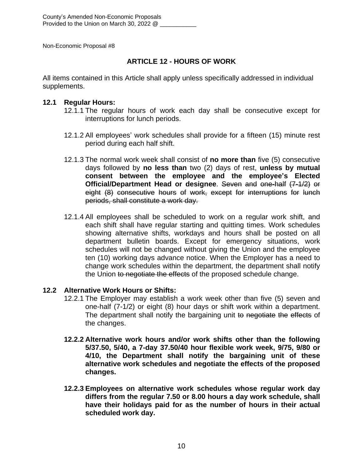#### **ARTICLE 12 - HOURS OF WORK**

All items contained in this Article shall apply unless specifically addressed in individual supplements.

#### **12.1 Regular Hours:**

- 12.1.1 The regular hours of work each day shall be consecutive except for interruptions for lunch periods.
- 12.1.2 All employees' work schedules shall provide for a fifteen (15) minute rest period during each half shift.
- 12.1.3 The normal work week shall consist of **no more than** five (5) consecutive days followed by **no less than** two (2) days of rest, **unless by mutual consent between the employee and the employee's Elected Official/Department Head or designee**. Seven and one-half (7-1/2) or eight (8) consecutive hours of work, except for interruptions for lunch periods, shall constitute a work day.
- 12.1.4 All employees shall be scheduled to work on a regular work shift, and each shift shall have regular starting and quitting times. Work schedules showing alternative shifts, workdays and hours shall be posted on all department bulletin boards. Except for emergency situations, work schedules will not be changed without giving the Union and the employee ten (10) working days advance notice. When the Employer has a need to change work schedules within the department, the department shall notify the Union to negotiate the effects of the proposed schedule change.

#### **12.2 Alternative Work Hours or Shifts:**

- 12.2.1 The Employer may establish a work week other than five (5) seven and one-half (7-1/2) or eight (8) hour days or shift work within a department. The department shall notify the bargaining unit to negotiate the effects of the changes.
- **12.2.2 Alternative work hours and/or work shifts other than the following 5/37.50, 5/40, a 7-day 37.50/40 hour flexible work week, 9/75, 9/80 or 4/10, the Department shall notify the bargaining unit of these alternative work schedules and negotiate the effects of the proposed changes.**
- **12.2.3 Employees on alternative work schedules whose regular work day differs from the regular 7.50 or 8.00 hours a day work schedule, shall have their holidays paid for as the number of hours in their actual scheduled work day.**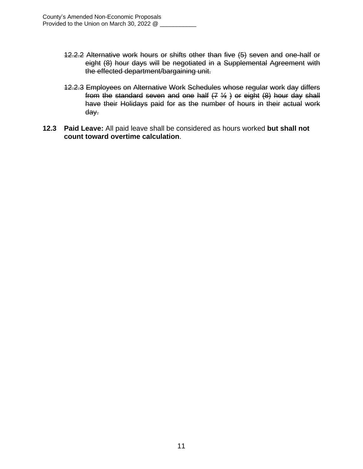- 12.2.2 Alternative work hours or shifts other than five (5) seven and one-half or eight (8) hour days will be negotiated in a Supplemental Agreement with the effected department/bargaining unit.
- 12.2.3 Employees on Alternative Work Schedules whose regular work day differs from the standard seven and one half  $(7 \frac{1}{2})$  or eight  $(8)$  hour day shall have their Holidays paid for as the number of hours in their actual work day.
- **12.3 Paid Leave:** All paid leave shall be considered as hours worked **but shall not count toward overtime calculation**.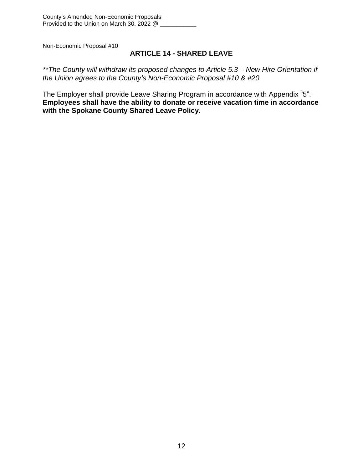#### **ARTICLE 14 - SHARED LEAVE**

*\*\*The County will withdraw its proposed changes to Article 5.3 – New Hire Orientation if the Union agrees to the County's Non-Economic Proposal #10 & #20*

The Employer shall provide Leave Sharing Program in accordance with Appendix "5". **Employees shall have the ability to donate or receive vacation time in accordance with the Spokane County Shared Leave Policy.**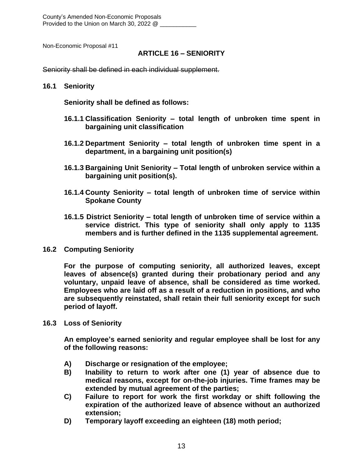County's Amended Non-Economic Proposals Provided to the Union on March 30, 2022 @

Non-Economic Proposal #11

#### **ARTICLE 16 – SENIORITY**

Seniority shall be defined in each individual supplement.

#### **16.1 Seniority**

**Seniority shall be defined as follows:**

- **16.1.1 Classification Seniority – total length of unbroken time spent in bargaining unit classification**
- **16.1.2 Department Seniority – total length of unbroken time spent in a department, in a bargaining unit position(s)**
- **16.1.3 Bargaining Unit Seniority – Total length of unbroken service within a bargaining unit position(s).**
- **16.1.4 County Seniority – total length of unbroken time of service within Spokane County**
- **16.1.5 District Seniority – total length of unbroken time of service within a service district. This type of seniority shall only apply to 1135 members and is further defined in the 1135 supplemental agreement.**
- **16.2 Computing Seniority**

**For the purpose of computing seniority, all authorized leaves, except leaves of absence(s) granted during their probationary period and any voluntary, unpaid leave of absence, shall be considered as time worked. Employees who are laid off as a result of a reduction in positions, and who are subsequently reinstated, shall retain their full seniority except for such period of layoff.**

**16.3 Loss of Seniority**

**An employee's earned seniority and regular employee shall be lost for any of the following reasons:**

- **A) Discharge or resignation of the employee;**
- **B) Inability to return to work after one (1) year of absence due to medical reasons, except for on-the-job injuries. Time frames may be extended by mutual agreement of the parties;**
- **C) Failure to report for work the first workday or shift following the expiration of the authorized leave of absence without an authorized extension;**
- **D) Temporary layoff exceeding an eighteen (18) moth period;**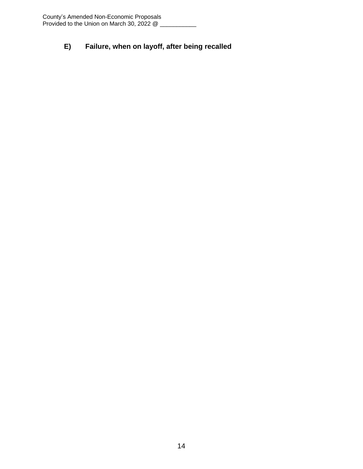### **E) Failure, when on layoff, after being recalled**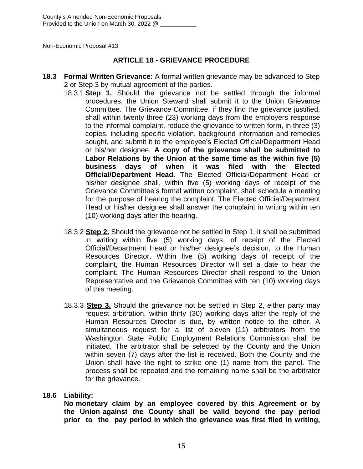#### **ARTICLE 18 - GRIEVANCE PROCEDURE**

- **18.3 Formal Written Grievance:** A formal written grievance may be advanced to Step 2 or Step 3 by mutual agreement of the parties.
	- 18.3.1 **Step 1.** Should the grievance not be settled through the informal procedures, the Union Steward shall submit it to the Union Grievance Committee. The Grievance Committee, if they find the grievance justified, shall within twenty three (23) working days from the employers response to the informal complaint, reduce the grievance to written form, in three (3) copies, including specific violation, background information and remedies sought, and submit it to the employee's Elected Official/Department Head or his/her designee. **A copy of the grievance shall be submitted to Labor Relations by the Union at the same time as the within five (5) business days of when it was filed with the Elected Official/Department Head.** The Elected Official/Department Head or his/her designee shall, within five (5) working days of receipt of the Grievance Committee's formal written complaint, shall schedule a meeting for the purpose of hearing the complaint. The Elected Official/Department Head or his/her designee shall answer the complaint in writing within ten (10) working days after the hearing.
	- 18.3.2 **Step 2.** Should the grievance not be settled in Step 1, it shall be submitted in writing within five (5) working days, of receipt of the Elected Official/Department Head or his/her designee's decision, to the Human Resources Director. Within five (5) working days of receipt of the complaint, the Human Resources Director will set a date to hear the complaint. The Human Resources Director shall respond to the Union Representative and the Grievance Committee with ten (10) working days of this meeting.
	- 18.3.3 **Step 3.** Should the grievance not be settled in Step 2, either party may request arbitration, within thirty (30) working days after the reply of the Human Resources Director is due, by written notice to the other. A simultaneous request for a list of eleven (11) arbitrators from the Washington State Public Employment Relations Commission shall be initiated. The arbitrator shall be selected by the County and the Union within seven (7) days after the list is received. Both the County and the Union shall have the right to strike one (1) name from the panel. The process shall be repeated and the remaining name shall be the arbitrator for the grievance.

#### **18.6 Liability:**

**No monetary claim by an employee covered by this Agreement or by the Union against the County shall be valid beyond the pay period prior to the pay period in which the grievance was first filed in writing,**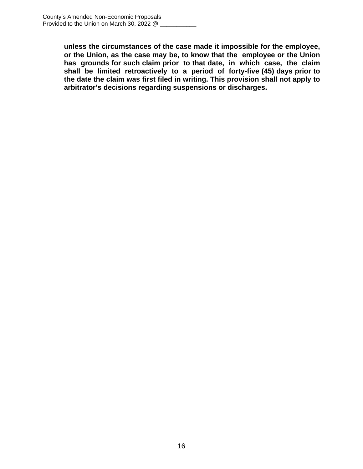**unless the circumstances of the case made it impossible for the employee, or the Union, as the case may be, to know that the employee or the Union has grounds for such claim prior to that date, in which case, the claim shall be limited retroactively to a period of forty-five (45) days prior to the date the claim was first filed in writing. This provision shall not apply to arbitrator's decisions regarding suspensions or discharges.**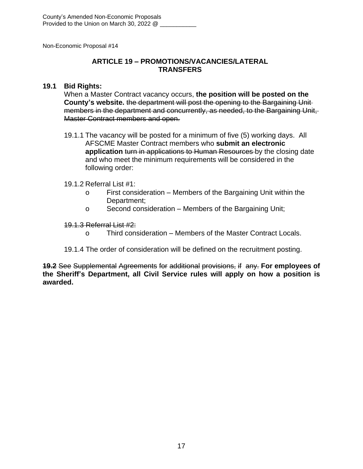#### **ARTICLE 19 – PROMOTIONS/VACANCIES/LATERAL TRANSFERS**

#### **19.1 Bid Rights:**

When a Master Contract vacancy occurs, **the position will be posted on the County's website.** the department will post the opening to the Bargaining Unit members in the department and concurrently, as needed, to the Bargaining Unit, Master Contract members and open.

19.1.1 The vacancy will be posted for a minimum of five (5) working days. All AFSCME Master Contract members who **submit an electronic application** turn in applications to Human Resources by the closing date and who meet the minimum requirements will be considered in the following order:

#### 19.1.2 Referral List #1:

- o First consideration Members of the Bargaining Unit within the Department;
- o Second consideration Members of the Bargaining Unit;

#### 19.1.3 Referral List #2:

- o Third consideration Members of the Master Contract Locals.
- 19.1.4 The order of consideration will be defined on the recruitment posting.

**19.2** See Supplemental Agreements for additional provisions, if any. **For employees of the Sheriff's Department, all Civil Service rules will apply on how a position is awarded.**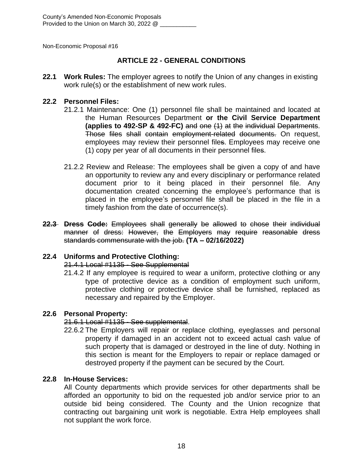#### **ARTICLE 22 - GENERAL CONDITIONS**

**22.1 Work Rules:** The employer agrees to notify the Union of any changes in existing work rule(s) or the establishment of new work rules.

#### **22.2 Personnel Files:**

- 21.2.1 Maintenance: One (1) personnel file shall be maintained and located at the Human Resources Department **or the Civil Service Department (applies to 492-SP & 492-FC)** and one (1) at the individual Departments. Those files shall contain employment-related documents. On request, employees may review their personnel files. Employees may receive one (1) copy per year of all documents in their personnel files.
- 21.2.2 Review and Release: The employees shall be given a copy of and have an opportunity to review any and every disciplinary or performance related document prior to it being placed in their personnel file. Any documentation created concerning the employee's performance that is placed in the employee's personnel file shall be placed in the file in a timely fashion from the date of occurrence(s).
- **22.3 Dress Code:** Employees shall generally be allowed to chose their individual manner of dress: However, the Employers may require reasonable dress standards commensurate with the job. **(TA – 02/16/2022)**

#### **22.4 Uniforms and Protective Clothing:**

#### 21.4.1 Local #1135 - See Supplemental

21.4.2 If any employee is required to wear a uniform, protective clothing or any type of protective device as a condition of employment such uniform, protective clothing or protective device shall be furnished, replaced as necessary and repaired by the Employer.

#### **22.6 Personal Property:**

#### 21.6.1 Local #1135 - See supplemental.

22.6.2 The Employers will repair or replace clothing, eyeglasses and personal property if damaged in an accident not to exceed actual cash value of such property that is damaged or destroyed in the line of duty. Nothing in this section is meant for the Employers to repair or replace damaged or destroyed property if the payment can be secured by the Court.

#### **22.8 In-House Services:**

All County departments which provide services for other departments shall be afforded an opportunity to bid on the requested job and/or service prior to an outside bid being considered. The County and the Union recognize that contracting out bargaining unit work is negotiable. Extra Help employees shall not supplant the work force.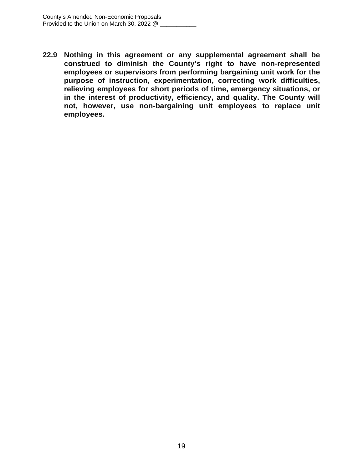**22.9 Nothing in this agreement or any supplemental agreement shall be construed to diminish the County's right to have non-represented employees or supervisors from performing bargaining unit work for the purpose of instruction, experimentation, correcting work difficulties, relieving employees for short periods of time, emergency situations, or in the interest of productivity, efficiency, and quality. The County will not, however, use non-bargaining unit employees to replace unit employees.**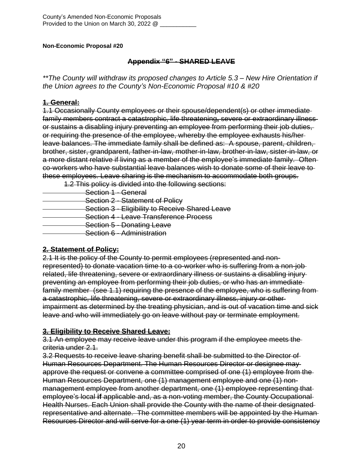#### **Appendix "6" - SHARED LEAVE**

*\*\*The County will withdraw its proposed changes to Article 5.3 – New Hire Orientation if the Union agrees to the County's Non-Economic Proposal #10 & #20*

#### **1. General:**

1.1 Occasionally County employees or their spouse/dependent(s) or other immediate family members contract a catastrophic, life threatening**,** severe or extraordinary illness or sustains a disabling injury preventing an employee from performing their job duties, or requiring the presence of the employee, whereby the employee exhausts his/her leave balances. The immediate family shall be defined as: A spouse, parent, children, brother, sister, grandparent, father-in-law, mother-in-law, brother-in-law, sister-in-law, or a more distant relative if living as a member of the employee's immediate family. Often co-workers who have substantial leave balances wish to donate some of their leave to these employees. Leave sharing is the mechanism to accommodate both groups.

1.2 This policy is divided into the following sections:

Section 1 - General **Section 2 - Statement of Policy Section 3 - Eligibility to Receive Shared Leave Section 4 - Leave Transference Process**  Section 5 - Donating Leave Section 6 - Administration

#### **2. Statement of Policy:**

2.1 It is the policy of the County to permit employees (represented and nonrepresented) to donate vacation time to a co-worker who is suffering from a non-job related, life threatening, severe or extraordinary illness or sustains a disabling injury preventing an employee from performing their job duties, or who has an immediate family member (see 1.1) requiring the presence of the employee, who is suffering from a catastrophic, life threatening, severe or extraordinary illness, injury or other impairment as determined by the treating physician, and is out of vacation time and sick leave and who will immediately go on leave without pay or terminate employment.

#### **3. Eligibility to Receive Shared Leave:**

3.1 An employee may receive leave under this program if the employee meets the criteria under 2.1.

3.2 Requests to receive leave sharing benefit shall be submitted to the Director of Human Resources Department. The Human Resources Director or designee may approve the request or convene a committee comprised of one (1) employee from the Human Resources Department, one (1) management employee and one (1) nonmanagement employee from another department, one (1) employee representing that employee's local **if** applicable and, as a non-voting member, the County Occupational Health Nurses. Each Union shall provide the County with the name of their designated representative and alternate. The committee members will be appointed by the Human Resources Director and will serve for a one (1) year term in order to provide consistency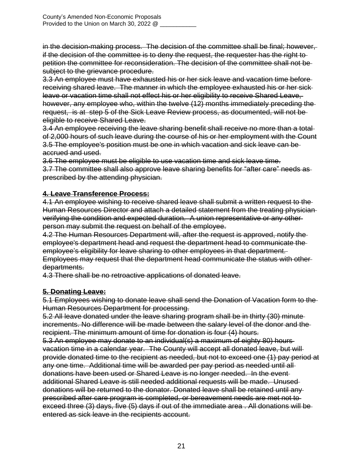in the decision-making process. The decision of the committee shall be final; however, if the decision of the committee is to deny the request, the requester has the right to petition the committee for reconsideration. The decision of the committee shall not be subject to the grievance procedure.

3.3 An employee must have exhausted his or her sick leave and vacation time before receiving shared leave. The manner in which the employee exhausted his or her sick leave or vacation time shall not effect his or her eligibility to receive Shared Leave, however, any employee who, within the twelve (12) months immediately preceding the request, is at step 5 of the Sick Leave Review process, as documented, will not be eligible to receive Shared Leave.

3.4 An employee receiving the leave sharing benefit shall receive no more than a total of 2,000 hours of such leave during the course of his or her employment with the Count 3.5 The employee's position must be one in which vacation and sick leave can be accrued and used.

3.6 The employee must be eligible to use vacation time and sick leave time.

3.7 The committee shall also approve leave sharing benefits for "after care" needs as prescribed by the attending physician.

#### **4. Leave Transference Process:**

4.1 An employee wishing to receive shared leave shall submit a written request to the Human Resources Director and attach a detailed statement from the treating physician verifying the condition and expected duration. A union representative or any other person may submit the request on behalf of the employee.

4.2 The Human Resources Department will, after the request is approved, notify the employee's department head and request the department head to communicate the employee's eligibility for leave sharing to other employees in that department. Employees may request that the department head communicate the status with other departments.

4.3 There shall be no retroactive applications of donated leave.

#### **5. Donating Leave:**

5.1 Employees wishing to donate leave shall send the Donation of Vacation form to the Human Resources Department for processing.

5.2 All leave donated under the leave sharing program shall be in thirty (30) minute increments. No difference will be made between the salary level of the donor and the recipient. The minimum amount of time for donation is four (4) hours.

5.3 An employee may donate to an individual(s) a maximum of eighty 80) hours vacation time in a calendar year. The County will accept all donated leave, but will provide donated time to the recipient as needed, but not to exceed one (1) pay period at any one time. Additional time will be awarded per pay period as needed until all donations have been used or Shared Leave is no longer needed. In the event additional Shared Leave is still needed additional requests will be made. Unused donations will be returned to the donator. Donated leave shall be retained until any prescribed after care program is completed, or bereavement needs are met not to exceed three (3) days, five (5) days if out of the immediate area . All donations will be entered as sick leave in the recipients account.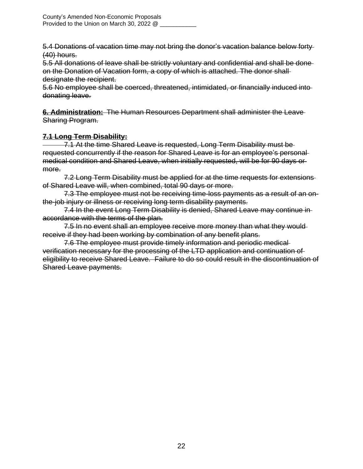5.4 Donations of vacation time may not bring the donor's vacation balance below forty (40) hours.

5.5 All donations of leave shall be strictly voluntary and confidential and shall be done on the Donation of Vacation form, a copy of which is attached. The donor shall designate the recipient.

5.6 No employee shall be coerced, threatened, intimidated, or financially induced into donating leave.

**6. Administration:** The Human Resources Department shall administer the Leave Sharing Program.

#### **7.1 Long Term Disability:**

 7.1 At the time Shared Leave is requested, Long Term Disability must be requested concurrently if the reason for Shared Leave is for an employee's personal medical condition and Shared Leave, when initially requested, will be for 90 days or more.

7.2 Long Term Disability must be applied for at the time requests for extensions of Shared Leave will, when combined, total 90 days or more.

7.3 The employee must not be receiving time-loss payments as a result of an onthe-job injury or illness or receiving long term disability payments.

7.4 In the event Long Term Disability is denied, Shared Leave may continue in accordance with the terms of the plan.

7.5 In no event shall an employee receive more money than what they wouldreceive if they had been working by combination of any benefit plans.

7.6 The employee must provide timely information and periodic medical verification necessary for the processing of the LTD application and continuation of eligibility to receive Shared Leave. Failure to do so could result in the discontinuation of Shared Leave payments.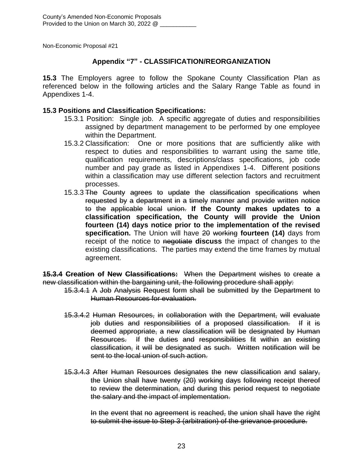#### **Appendix "7" - CLASSIFICATION/REORGANIZATION**

**15.3** The Employers agree to follow the Spokane County Classification Plan as referenced below in the following articles and the Salary Range Table as found in Appendixes 1-4.

#### **15.3 Positions and Classification Specifications:**

- 15.3.1 Position: Single job. A specific aggregate of duties and responsibilities assigned by department management to be performed by one employee within the Department.
- 15.3.2 Classification: One or more positions that are sufficiently alike with respect to duties and responsibilities to warrant using the same title, qualification requirements, descriptions/class specifications, job code number and pay grade as listed in Appendixes 1-4. Different positions within a classification may use different selection factors and recruitment processes.
- 15.3.3 The County agrees to update the classification specifications when requested by a department in a timely manner and provide written notice to the applicable local union. **If the County makes updates to a classification specification, the County will provide the Union fourteen (14) days notice prior to the implementation of the revised specification.** The Union will have 20 working **fourteen (14)** days from receipt of the notice to negotiate **discuss** the impact of changes to the existing classifications. The parties may extend the time frames by mutual agreement.

**15.3.4 Creation of New Classifications:** When the Department wishes to create a new classification within the bargaining unit, the following procedure shall apply:

- 15.3.4.1 A Job Analysis Request form shall be submitted by the Department to Human Resources for evaluation.
- 15.3.4.2 Human Resources, in collaboration with the Department, will evaluate job duties and responsibilities of a proposed classification. If it is deemed appropriate, a new classification will be designated by Human Resources. If the duties and responsibilities fit within an existing classification, it will be designated as such. Written notification will be sent to the local union of such action.
- 15.3.4.3 After Human Resources designates the new classification and salary, the Union shall have twenty (20) working days following receipt thereof to review the determination, and during this period request to negotiate the salary and the impact of implementation.

In the event that no agreement is reached, the union shall have the right to submit the issue to Step 3 (arbitration) of the grievance procedure.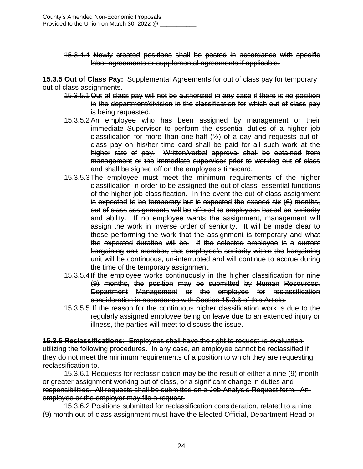15.3.4.4 Newly created positions shall be posted in accordance with specific labor agreements or supplemental agreements if applicable.

**15.3.5 Out of Class Pay:** Supplemental Agreements for out of class pay for temporary out of class assignments.

- 15.3.5.1Out of class pay will not be authorized in any case if there is no position in the department/division in the classification for which out of class pay is being requested.
- 15.3.5.2An employee who has been assigned by management or their immediate Supervisor to perform the essential duties of a higher job classification for more than one-half  $(½)$  of a day and requests out-ofclass pay on his/her time card shall be paid for all such work at the higher rate of pay. Written/verbal approval shall be obtained from management or the immediate supervisor prior to working out of class and shall be signed off on the employee's timecard.
- 15.3.5.3The employee must meet the minimum requirements of the higher classification in order to be assigned the out of class, essential functions of the higher job classification. In the event the out of class assignment is expected to be temporary but is expected the exceed six  $(6)$  months, out of class assignments will be offered to employees based on seniority and ability. If no employee wants the assignment, management will assign the work in inverse order of seniority. It will be made clear to those performing the work that the assignment is temporary and what the expected duration will be. If the selected employee is a current bargaining unit member, that employee's seniority within the bargaining unit will be continuous, un-interrupted and will continue to accrue during the time of the temporary assignment.
- 15.3.5.4If the employee works continuously in the higher classification for nine (9) months, the position may be submitted by Human Resources, Department Management or the employee for reclassification consideration in accordance with Section 15.3.6 of this Article.
- 15.3.5.5 If the reason for the continuous higher classification work is due to the regularly assigned employee being on leave due to an extended injury or illness, the parties will meet to discuss the issue.

**15.3.6 Reclassifications:** Employees shall have the right to request re-evaluation utilizing the following procedures. In any case, an employee cannot be reclassified if they do not meet the minimum requirements of a position to which they are requesting reclassification to.

15.3.6.1 Requests for reclassification may be the result of either a nine (9) month or greater assignment working out of class, or a significant change in duties and responsibilities. All requests shall be submitted on a Job Analysis Request form. An employee or the employer may file a request.

15.3.6.2 Positions submitted for reclassification consideration, related to a nine (9) month out-of-class assignment must have the Elected Official, Department Head or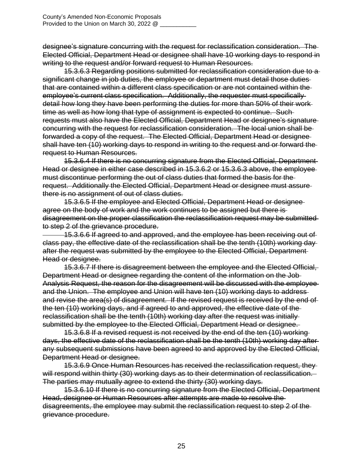designee's signature concurring with the request for reclassification consideration. The Elected Official, Department Head or designee shall have 10 working days to respond in writing to the request and/or forward request to Human Resources.

15.3.6.3 Regarding positions submitted for reclassification consideration due to a significant change in job duties, the employee or department must detail those duties that are contained within a different class specification or are not contained within the employee's current class specification. Additionally, the requester must specifically detail how long they have been performing the duties for more than 50% of their work time as well as how long that type of assignment is expected to continue. Such requests must also have the Elected Official, Department Head or designee's signature concurring with the request for reclassification consideration. The local union shall be forwarded a copy of the request. The Elected Official, Department Head or designee shall have ten (10) working days to respond in writing to the request and or forward the request to Human Resources.

15.3.6.4 If there is no concurring signature from the Elected Official, Department Head or designee in either case described in 15.3.6.2 or 15.3.6.3 above, the employee must discontinue performing the out of class duties that formed the basis for the request. Additionally the Elected Official, Department Head or designee must assure there is no assignment of out of class duties.

15.3.6.5 If the employee and Elected Official, Department Head or designee agree on the body of work and the work continues to be assigned but there is disagreement on the proper classification the reclassification request may be submitted to step 2 of the grievance procedure.

 15.3.6.6 If agreed to and approved, and the employee has been receiving out of class pay, the effective date of the reclassification shall be the tenth (10th) working day after the request was submitted by the employee to the Elected Official, Department Head or designee.

15.3.6.7 If there is disagreement between the employee and the Elected Official, Department Head or designee regarding the content of the information on the Job Analysis Request, the reason for the disagreement will be discussed with the employee and the Union. The employee and Union will have ten (10) working days to address and revise the area(s) of disagreement. If the revised request is received by the end of the ten (10) working days, and if agreed to and approved, the effective date of the reclassification shall be the tenth (10th) working day after the request was initially submitted by the employee to the Elected Official, Department Head or designee.

15.3.6.8 If a revised request is not received by the end of the ten (10) working days, the effective date of the reclassification shall be the tenth (10th) working day after any subsequent submissions have been agreed to and approved by the Elected Official, Department Head or designee.

15.3.6.9 Once Human Resources has received the reclassification request, they will respond within thirty (30) working days as to their determination of reclassification. The parties may mutually agree to extend the thirty (30) working days.

15.3.6.10 If there is no concurring signature from the Elected Official, Department Head, designee or Human Resources after attempts are made to resolve the disagreements, the employee may submit the reclassification request to step 2 of the grievance procedure.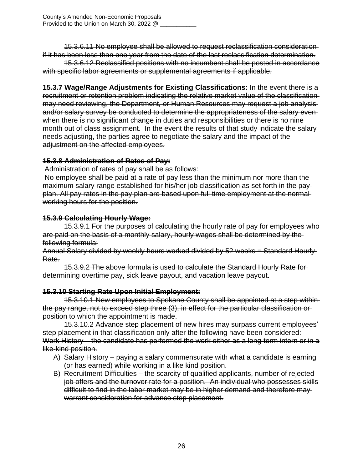15.3.6.11 No employee shall be allowed to request reclassification consideration if it has been less than one year from the date of the last reclassification determination.

15.3.6.12 Reclassified positions with no incumbent shall be posted in accordance with specific labor agreements or supplemental agreements if applicable.

**15.3.7 Wage/Range Adjustments for Existing Classifications:** In the event there is a recruitment or retention problem indicating the relative market value of the classification may need reviewing, the Department*,* or Human Resources may request a job analysis and/or salary survey be conducted to determine the appropriateness of the salary even when there is no significant change in duties and responsibilities or there is no ninemonth out of class assignment. In the event the results of that study indicate the salary needs adjusting, the parties agree to negotiate the salary and the impact of the adjustment on the affected employees.

#### **15.3.8 Administration of Rates of Pay:**

Administration of rates of pay shall be as follows:

No employee shall be paid at a rate of pay less than the minimum nor more than the maximum salary range established for his/her job classification as set forth in the pay plan. All pay rates in the pay plan are based upon full time employment at the normal working hours for the position.

#### **15.3.9 Calculating Hourly Wage:**

 15.3.9.1 For the purposes of calculating the hourly rate of pay for employees who are paid on the basis of a monthly salary, hourly wages shall be determined by the following formula:

Annual Salary divided by weekly hours worked divided by 52 weeks = Standard Hourly Rate.

15.3.9.2 The above formula is used to calculate the Standard Hourly Rate for determining overtime pay, sick leave payout, and vacation leave payout.

#### **15.3.10 Starting Rate Upon Initial Employment:**

15.3.10.1 New employees to Spokane County shall be appointed at a step within the pay range, not to exceed step three (3), in effect for the particular classification or position to which the appointment is made.

15.3.10.2 Advance step placement of new hires may surpass current employees' step placement in that classification only after the following have been considered: Work History – the candidate has performed the work either as a long-term intern or in a like-kind position.

- A) Salary History paying a salary commensurate with what a candidate is earning (or has earned) while working in a like kind position.
- B) Recruitment Difficulties the scarcity of qualified applicants, number of rejected job offers and the turnover rate for a position. An individual who possesses skills difficult to find in the labor market may be in higher demand and therefore may warrant consideration for advance step placement.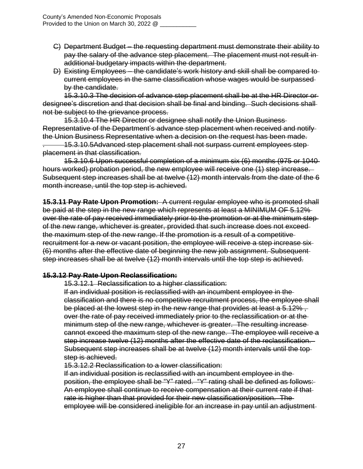- C) Department Budget the requesting department must demonstrate their ability to pay the salary of the advance step placement. The placement must not result in additional budgetary impacts within the department.
- D) Existing Employees the candidate's work history and skill shall be compared to current employees in the same classification whose wages would be surpassed by the candidate.

15.3.10.3 The decision of advance step placement shall be at the HR Director or designee's discretion and that decision shall be final and binding. Such decisions shall not be subject to the grievance process.

15.3.10.4 The HR Director or designee shall notify the Union Business Representative of the Department's advance step placement when received and notify the Union Business Representative when a decision on the request has been made.

. 15.3.10.5Advanced step placement shall not surpass current employees step placement in that classification.

15.3.10.6 Upon successful completion of a minimum six (6) months (975 or 1040 hours worked) probation period, the new employee will receive one (1) step increase. Subsequent step increases shall be at twelve (12) month intervals from the date of the 6 month increase, until the top step is achieved.

**15.3.11 Pay Rate Upon Promotion:** A current regular employee who is promoted shall be paid at the step in the new range which represents at least a MINIMUM OF 5.12% over the rate of pay received immediately prior to the promotion or at the minimum step of the new range, whichever is greater, provided that such increase does not exceed the maximum step of the new range. If the promotion is a result of a competitive recruitment for a new or vacant position, the employee will receive a step increase six (6) months after the effective date of beginning the new job assignment. Subsequent step increases shall be at twelve (12) month intervals until the top step is achieved.

#### **15.3.12 Pay Rate Upon Reclassification:**

15.3.12.1 Reclassification to a higher classification:

If an individual position is reclassified with an incumbent employee in the classification and there is no competitive recruitment process, the employee shall be placed at the lowest step in the new range that provides at least a 5.12%, over the rate of pay received immediately prior to the reclassification or at the minimum step of the new range, whichever is greater. The resulting increase cannot exceed the maximum step of the new range. The employee will receive a step increase twelve (12) months after the effective date of the reclassification. Subsequent step increases shall be at twelve (12) month intervals until the top step is achieved.

15.3.12.2 Reclassification to a lower classification:

If an individual position is reclassified with an incumbent employee in the position, the employee shall be "Y" rated. "Y" rating shall be defined as follows: An employee shall continue to receive compensation at their current rate if that rate is higher than that provided for their new classification/position. The employee will be considered ineligible for an increase in pay until an adjustment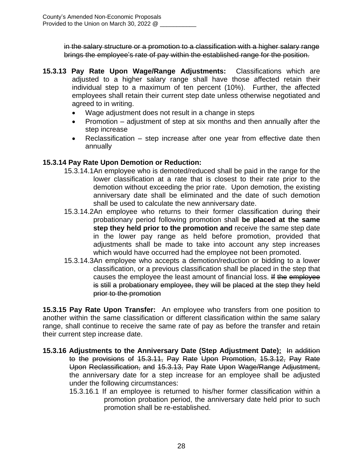in the salary structure or a promotion to a classification with a higher salary range brings the employee's rate of pay within the established range for the position.

- **15.3.13 Pay Rate Upon Wage/Range Adjustments:** Classifications which are adjusted to a higher salary range shall have those affected retain their individual step to a maximum of ten percent (10%). Further, the affected employees shall retain their current step date unless otherwise negotiated and agreed to in writing.
	- Wage adjustment does not result in a change in steps
	- Promotion  $-$  adjustment of step at six months and then annually after the step increase
	- Reclassification step increase after one year from effective date then annually

#### **15.3.14 Pay Rate Upon Demotion or Reduction:**

- 15.3.14.1An employee who is demoted/reduced shall be paid in the range for the lower classification at a rate that is closest to their rate prior to the demotion without exceeding the prior rate. Upon demotion, the existing anniversary date shall be eliminated and the date of such demotion shall be used to calculate the new anniversary date.
- 15.3.14.2An employee who returns to their former classification during their probationary period following promotion shall **be placed at the same step they held prior to the promotion and** receive the same step date in the lower pay range as held before promotion, provided that adjustments shall be made to take into account any step increases which would have occurred had the employee not been promoted.
- 15.3.14.3An employee who accepts a demotion/reduction or bidding to a lower classification, or a previous classification shall be placed in the step that causes the employee the least amount of financial loss. If the employee is still a probationary employee, they will be placed at the step they held prior to the promotion

**15.3.15 Pay Rate Upon Transfer:** An employee who transfers from one position to another within the same classification or different classification within the same salary range, shall continue to receive the same rate of pay as before the transfer and retain their current step increase date.

- **15.3.16 Adjustments to the Anniversary Date (Step Adjustment Date):** In addition to the provisions of 15.3.11, Pay Rate Upon Promotion, 15.3.12, Pay Rate Upon Reclassification, and 15.3.13, Pay Rate Upon Wage/Range Adjustment, the anniversary date for a step increase for an employee shall be adjusted under the following circumstances:
	- 15.3.16.1 If an employee is returned to his/her former classification within a promotion probation period, the anniversary date held prior to such promotion shall be re-established.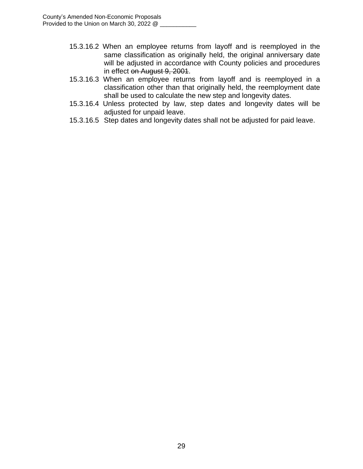- 15.3.16.2 When an employee returns from layoff and is reemployed in the same classification as originally held, the original anniversary date will be adjusted in accordance with County policies and procedures in effect on August 9, 2001.
- 15.3.16.3 When an employee returns from layoff and is reemployed in a classification other than that originally held, the reemployment date shall be used to calculate the new step and longevity dates.
- 15.3.16.4 Unless protected by law, step dates and longevity dates will be adjusted for unpaid leave.
- 15.3.16.5 Step dates and longevity dates shall not be adjusted for paid leave.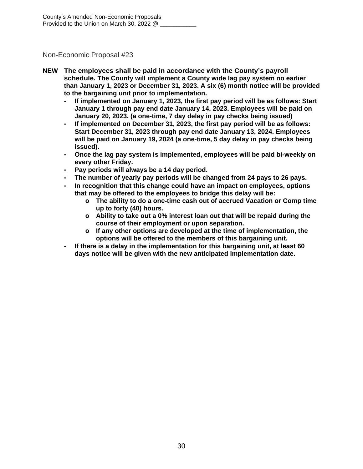- **NEW The employees shall be paid in accordance with the County's payroll schedule. The County will implement a County wide lag pay system no earlier than January 1, 2023 or December 31, 2023. A six (6) month notice will be provided to the bargaining unit prior to implementation.**
	- **- If implemented on January 1, 2023, the first pay period will be as follows: Start January 1 through pay end date January 14, 2023. Employees will be paid on January 20, 2023. (a one-time, 7 day delay in pay checks being issued)**
	- **- If implemented on December 31, 2023, the first pay period will be as follows: Start December 31, 2023 through pay end date January 13, 2024. Employees will be paid on January 19, 2024 (a one-time, 5 day delay in pay checks being issued).**
	- **- Once the lag pay system is implemented, employees will be paid bi-weekly on every other Friday.**
	- **- Pay periods will always be a 14 day period.**
	- **- The number of yearly pay periods will be changed from 24 pays to 26 pays.**
	- **- In recognition that this change could have an impact on employees, options that may be offered to the employees to bridge this delay will be:**
		- **o The ability to do a one-time cash out of accrued Vacation or Comp time up to forty (40) hours.**
		- **o Ability to take out a 0% interest loan out that will be repaid during the course of their employment or upon separation.**
		- **o If any other options are developed at the time of implementation, the options will be offered to the members of this bargaining unit.**
	- **- If there is a delay in the implementation for this bargaining unit, at least 60 days notice will be given with the new anticipated implementation date.**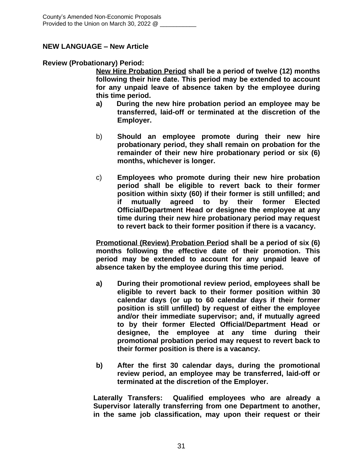#### **NEW LANGUAGE – New Article**

#### **Review (Probationary) Period:**

**New Hire Probation Period shall be a period of twelve (12) months following their hire date. This period may be extended to account for any unpaid leave of absence taken by the employee during this time period.**

- **a) During the new hire probation period an employee may be transferred, laid-off or terminated at the discretion of the Employer.**
- b) **Should an employee promote during their new hire probationary period, they shall remain on probation for the remainder of their new hire probationary period or six (6) months, whichever is longer.**
- c) **Employees who promote during their new hire probation period shall be eligible to revert back to their former position within sixty (60) if their former is still unfilled; and if mutually agreed to by their former Elected Official/Department Head or designee the employee at any time during their new hire probationary period may request to revert back to their former position if there is a vacancy.**

**Promotional (Review) Probation Period shall be a period of six (6) months following the effective date of their promotion. This period may be extended to account for any unpaid leave of absence taken by the employee during this time period.**

- **a) During their promotional review period, employees shall be eligible to revert back to their former position within 30 calendar days (or up to 60 calendar days if their former position is still unfilled) by request of either the employee and/or their immediate supervisor; and, if mutually agreed to by their former Elected Official/Department Head or designee, the employee at any time during their promotional probation period may request to revert back to their former position is there is a vacancy.**
- **b) After the first 30 calendar days, during the promotional review period, an employee may be transferred, laid-off or terminated at the discretion of the Employer.**

**Laterally Transfers: Qualified employees who are already a Supervisor laterally transferring from one Department to another, in the same job classification, may upon their request or their**